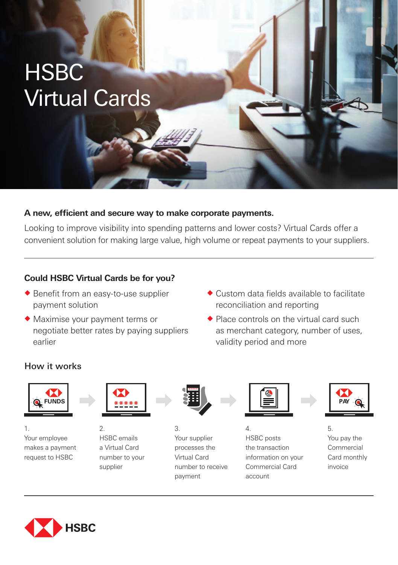# **HSBC** Virtual Cards

#### **A new, efficient and secure way to make corporate payments.**

Looking to improve visibility into spending patterns and lower costs? Virtual Cards offer a convenient solution for making large value, high volume or repeat payments to your suppliers.

## **Could HSBC Virtual Cards be for you?**

- $\triangle$  Benefit from an easy-to-use supplier payment solution
- $\blacklozenge$  Maximise your payment terms or negotiate better rates by paying suppliers earlier
- $\triangle$  Custom data fields available to facilitate reconciliation and reporting
- $\triangle$  Place controls on the virtual card such as merchant category, number of uses, validity period and more

### How it works



1. Your employee makes a payment request to HSBC



2. HSBC emails a Virtual Card number to your supplier



3. Your supplier processes the Virtual Card number to receive payment



4. HSBC posts the transaction information on your Commercial Card account



5. You pay the Commercial Card monthly invoice